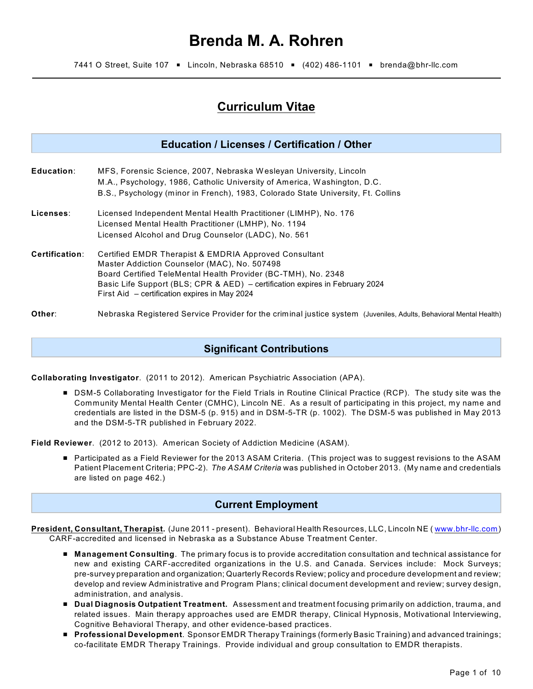# **Brenda M. A. Rohren**

7441 O Street, Suite 107 · Lincoln, Nebraska 68510 · (402) 486-1101 · brenda@bhr-llc.com

# **Curriculum Vitae**

### **Education / Licenses / Certification / Other**

| Education:            | MFS, Forensic Science, 2007, Nebraska Wesleyan University, Lincoln<br>M.A., Psychology, 1986, Catholic University of America, Washington, D.C.<br>B.S., Psychology (minor in French), 1983, Colorado State University, Ft. Collins                                                                      |
|-----------------------|---------------------------------------------------------------------------------------------------------------------------------------------------------------------------------------------------------------------------------------------------------------------------------------------------------|
| Licenses:             | Licensed Independent Mental Health Practitioner (LIMHP), No. 176<br>Licensed Mental Health Practitioner (LMHP), No. 1194<br>Licensed Alcohol and Drug Counselor (LADC), No. 561                                                                                                                         |
| <b>Certification:</b> | Certified EMDR Therapist & EMDRIA Approved Consultant<br>Master Addiction Counselor (MAC), No. 507498<br>Board Certified TeleMental Health Provider (BC-TMH), No. 2348<br>Basic Life Support (BLS; CPR & AED) – certification expires in February 2024<br>First Aid – certification expires in May 2024 |
| Other:                | Nebraska Registered Service Provider for the criminal justice system (Juveniles, Adults, Behavioral Mental Health)                                                                                                                                                                                      |

# **Significant Contributions**

**Collaborating Investigator**. (2011 to 2012). American Psychiatric Association (APA).

**DSM-5 Collaborating Investigator for the Field Trials in Routine Clinical Practice (RCP). The study site was the** Community Mental Health Center (CMHC), Lincoln NE. As a result of participating in this project, my name and credentials are listed in the DSM-5 (p. 915) and in DSM-5-TR (p. 1002). The DSM-5 was published in May 2013 and the DSM-5-TR published in February 2022.

**Field Reviewer**. (2012 to 2013). American Society of Addiction Medicine (ASAM).

■ Participated as a Field Reviewer for the 2013 ASAM Criteria. (This project was to suggest revisions to the ASAM Patient Placement Criteria; PPC-2). *The ASAM Criteria* was published in October 2013. (My name and credentials are listed on page 462.)

# **Current Employment**

- **President, Consultant, Therapist.** (June 2011 present). Behavioral Health Resources, LLC, Lincoln NE ( [www.bhr-llc.com](http://www.bhr-llc.com)) CARF-accredited and licensed in Nebraska as a Substance Abuse Treatment Center.
	- **Management Consulting**. The primary focus is to provide accreditation consultation and technical assistance for new and existing CARF-accredited organizations in the U.S. and Canada. Services include: Mock Surveys; pre-survey preparation and organization; Quarterly Records Review; policy and procedure development and review; develop and review Administrative and Program Plans; clinical document development and review; survey design, administration, and analysis.
	- # **Dual Diagnosis Outpatient Treatment.** Assessment and treatment focusing primarily on addiction, trauma, and related issues. Main therapy approaches used are EMDR therapy, Clinical Hypnosis, Motivational Interviewing, Cognitive Behavioral Therapy, and other evidence-based practices.
	- # **Professional Development**. Sponsor EMDR Therapy Trainings (formerly Basic Training) and advanced trainings; co-facilitate EMDR Therapy Trainings. Provide individual and group consultation to EMDR therapists.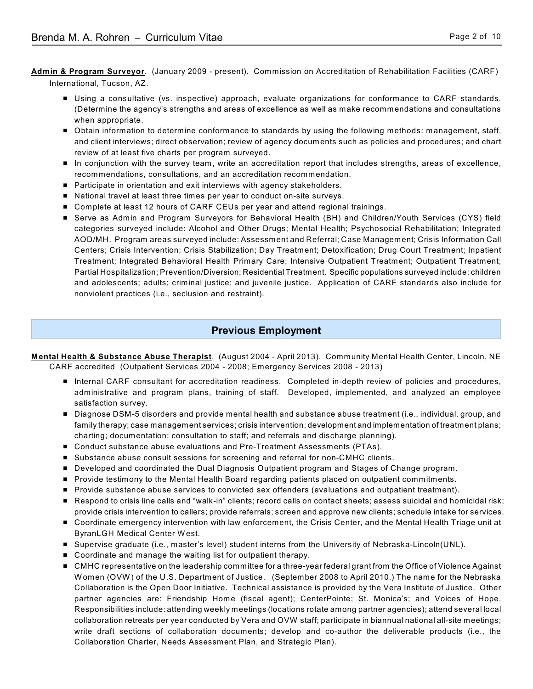**Admin & Program Surveyor**. (January 2009 - present). Commission on Accreditation of Rehabilitation Facilities (CARF) International, Tucson, AZ.

- Using a consultative (vs. inspective) approach, evaluate organizations for conformance to CARF standards. (Determine the agency's strengths and areas of excellence as well as make recommendations and consultations when appropriate.
- Obtain information to determine conformance to standards by using the following methods: management, staff, and client interviews; direct observation; review of agency documents such as policies and procedures; and chart review of at least five charts per program surveyed.
- In conjunction with the survey team, write an accreditation report that includes strengths, areas of excellence, recommendations, consultations, and an accreditation recommendation.
- **E** Participate in orientation and exit interviews with agency stakeholders.
- National travel at least three times per year to conduct on-site surveys.
- Complete at least 12 hours of CARF CEUs per year and attend regional trainings.
- Serve as Admin and Program Surveyors for Behavioral Health (BH) and Children/Youth Services (CYS) field categories surveyed include: Alcohol and Other Drugs; Mental Health; Psychosocial Rehabilitation; Integrated AOD/MH. Program areas surveyed include: Assessment and Referral; Case Management; Crisis Information Call Centers; Crisis Intervention; Crisis Stabilization; Day Treatment; Detoxification; Drug Court Treatment; Inpatient Treatment; Integrated Behavioral Health Primary Care; Intensive Outpatient Treatment; Outpatient Treatment; Partial Hospitalization; Prevention/Diversion; Residential Treatment. Specific populations surveyed include: children and adolescents; adults; criminal justice; and juvenile justice. Application of CARF standards also include for nonviolent practices (i.e., seclusion and restraint).

# **Previous Employment**

**Mental Health & Substance Abuse Therapist**. (August 2004 - April 2013). Community Mental Health Center, Lincoln, NE CARF accredited (Outpatient Services 2004 - 2008; Emergency Services 2008 - 2013)

- **Internal CARF consultant for accreditation readiness. Completed in-depth review of policies and procedures,** administrative and program plans, training of staff. Developed, implemented, and analyzed an employee satisfaction survey.
- Diagnose DSM-5 disorders and provide mental health and substance abuse treatment (i.e., individual, group, and family therapy; case management services; crisis intervention; development and implementation of treatment plans; charting; documentation; consultation to staff; and referrals and discharge planning).
- Conduct substance abuse evaluations and Pre-Treatment Assessments (PTAs).
- Substance abuse consult sessions for screening and referral for non-CMHC clients.
- **Developed and coordinated the Dual Diagnosis Outpatient program and Stages of Change program.**
- **Provide testimony to the Mental Health Board regarding patients placed on outpatient commitments.**
- **Provide substance abuse services to convicted sex offenders (evaluations and outpatient treatment).**
- Respond to crisis line calls and "walk-in" clients; record calls on contact sheets; assess suicidal and homicidal risk; provide crisis intervention to callers; provide referrals; screen and approve new clients; schedule intake for services.
- Coordinate emergency intervention with law enforcement, the Crisis Center, and the Mental Health Triage unit at ByranLGH Medical Center W est.
- Supervise graduate (i.e., master's level) student interns from the University of Nebraska-Lincoln(UNL).
- Coordinate and manage the waiting list for outpatient therapy.
- CMHC representative on the leadership committee for a three-year federal grant from the Office of Violence Against W omen (OVW) of the U.S. Department of Justice. (September 2008 to April 2010.) The name for the Nebraska Collaboration is the Open Door Initiative. Technical assistance is provided by the Vera Institute of Justice. Other partner agencies are: Friendship Home (fiscal agent); CenterPointe; St. Monica's; and Voices of Hope. Responsibilities include: attending weekly meetings (locations rotate among partner agencies); attend several local collaboration retreats per year conducted by Vera and OVW staff; participate in biannual national all-site meetings; write draft sections of collaboration documents; develop and co-author the deliverable products (i.e., the Collaboration Charter, Needs Assessment Plan, and Strategic Plan).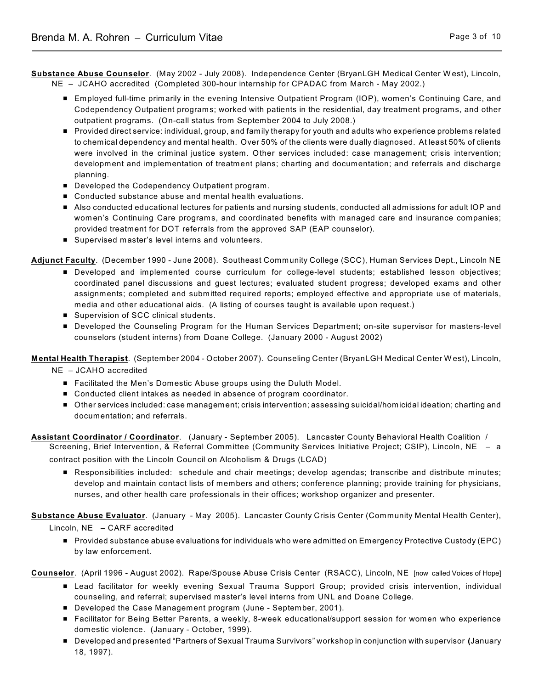**Substance Abuse Counselor**. (May 2002 - July 2008). Independence Center (BryanLGH Medical Center W est), Lincoln, NE – JCAHO accredited (Completed 300-hour internship for CPADAC from March - May 2002.)

- Employed full-time primarily in the evening Intensive Outpatient Program (IOP), women's Continuing Care, and Codependency Outpatient programs; worked with patients in the residential, day treatment programs, and other outpatient programs. (On-call status from September 2004 to July 2008.)
- **Provided direct service: individual, group, and family therapy for youth and adults who experience problems related** to chemical dependency and mental health. Over 50% of the clients were dually diagnosed. At least 50% of clients were involved in the criminal justice system. Other services included: case management; crisis intervention; development and implementation of treatment plans; charting and documentation; and referrals and discharge planning.
- **E** Developed the Codependency Outpatient program.
- Conducted substance abuse and mental health evaluations.
- Also conducted educational lectures for patients and nursing students, conducted all admissions for adult IOP and women's Continuing Care programs, and coordinated benefits with managed care and insurance companies; provided treatment for DOT referrals from the approved SAP (EAP counselor).
- Supervised master's level interns and volunteers.

**Adjunct Faculty**. (December 1990 - June 2008). Southeast Community College (SCC), Human Services Dept., Lincoln NE

- **Developed and implemented course curriculum for college-level students; established lesson objectives;** coordinated panel discussions and guest lectures; evaluated student progress; developed exams and other assignments; completed and submitted required reports; employed effective and appropriate use of materials, media and other educational aids. (A listing of courses taught is available upon request.)
- Supervision of SCC clinical students.
- **E** Developed the Counseling Program for the Human Services Department; on-site supervisor for masters-level counselors (student interns) from Doane College. (January 2000 - August 2002)

**Mental Health Therapist**. (September 2004 - October 2007). Counseling Center (BryanLGH Medical Center W est), Lincoln,

- NE JCAHO accredited
	- Facilitated the Men's Domestic Abuse groups using the Duluth Model.
	- Conducted client intakes as needed in absence of program coordinator.
	- Other services included: case management; crisis intervention; assessing suicidal/homicidal ideation; charting and documentation; and referrals.
- **Assistant Coordinator / Coordinator**. (January September 2005). Lancaster County Behavioral Health Coalition / Screening, Brief Intervention, & Referral Committee (Community Services Initiative Project; CSIP), Lincoln, NE – a

contract position with the Lincoln Council on Alcoholism & Drugs (LCAD)

**EXECTS ARESPONSIBILITIES** included: schedule and chair meetings; develop agendas; transcribe and distribute minutes; develop and maintain contact lists of members and others; conference planning; provide training for physicians, nurses, and other health care professionals in their offices; workshop organizer and presenter.

**Substance Abuse Evaluator**. (January - May 2005). Lancaster County Crisis Center (Community Mental Health Center), Lincoln, NE – CARF accredited

**Provided substance abuse evaluations for individuals who were admitted on Emergency Protective Custody (EPC)** by law enforcement.

**Counselor**. (April 1996 - August 2002). Rape/Spouse Abuse Crisis Center (RSACC), Lincoln, NE [now called Voices of Hope]

- **E** Lead facilitator for weekly evening Sexual Trauma Support Group; provided crisis intervention, individual counseling, and referral; supervised master's level interns from UNL and Doane College.
- **E** Developed the Case Management program (June September, 2001).
- Facilitator for Being Better Parents, a weekly, 8-week educational/support session for women who experience domestic violence. (January - October, 1999).
- # Developed and presented "Partners of Sexual Trauma Survivors" workshop in conjunction with supervisor **(**January 18, 1997).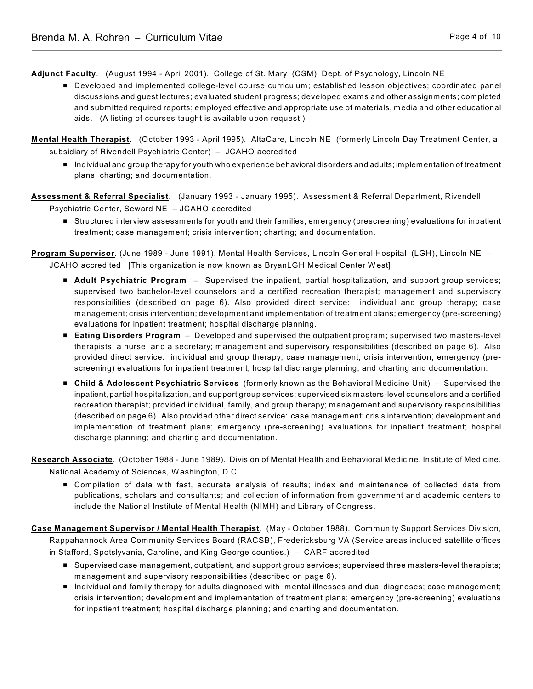**Adjunct Faculty**. (August 1994 - April 2001). College of St. Mary (CSM), Dept. of Psychology, Lincoln NE

- Developed and implemented college-level course curriculum; established lesson objectives; coordinated panel discussions and guest lectures; evaluated student progress; developed exams and other assignments; completed and submitted required reports; employed effective and appropriate use of materials, media and other educational aids. (A listing of courses taught is available upon request.)
- **Mental Health Therapist**. (October 1993 April 1995). AltaCare, Lincoln NE (formerly Lincoln Day Treatment Center, a subsidiary of Rivendell Psychiatric Center) – JCAHO accredited
	- **Individual and group therapy for youth who experience behavioral disorders and adults; implementation of treatment** plans; charting; and documentation.

**Assessment & Referral Specialist**. (January 1993 - January 1995). Assessment & Referral Department, Rivendell Psychiatric Center, Seward NE – JCAHO accredited

**EXTENCTION INTERVIEW ASSESSMENTS FOR YOUTH AND THE STRUCT INTERVIET CONTERVIET SETABLE STATES IN SETABLE STATES** treatment; case management; crisis intervention; charting; and documentation.

**Program Supervisor**. (June 1989 - June 1991). Mental Health Services, Lincoln General Hospital (LGH), Lincoln NE – JCAHO accredited [This organization is now known as BryanLGH Medical Center W est]

- **Adult Psychiatric Program** Supervised the inpatient, partial hospitalization, and support group services; supervised two bachelor-level counselors and a certified recreation therapist; management and supervisory responsibilities (described on page 6). Also provided direct service: individual and group therapy; case management; crisis intervention; development and implementation of treatment plans; emergency (pre-screening) evaluations for inpatient treatment; hospital discharge planning.
- **Eating Disorders Program** Developed and supervised the outpatient program; supervised two masters-level therapists, a nurse, and a secretary; management and supervisory responsibilities (described on page 6). Also provided direct service: individual and group therapy; case management; crisis intervention; emergency (prescreening) evaluations for inpatient treatment; hospital discharge planning; and charting and documentation.
- # **Child & Adolescent Psychiatric Services** (formerly known as the Behavioral Medicine Unit) Supervised the inpatient, partial hospitalization, and support group services; supervised six masters-level counselors and a certified recreation therapist; provided individual, family, and group therapy; management and supervisory responsibilities (described on page 6). Also provided other direct service: case management; crisis intervention; development and implementation of treatment plans; emergency (pre-screening) evaluations for inpatient treatment; hospital discharge planning; and charting and documentation.

**Research Associate**. (October 1988 - June 1989). Division of Mental Health and Behavioral Medicine, Institute of Medicine, National Academy of Sciences, W ashington, D.C.

- **E** Compilation of data with fast, accurate analysis of results; index and maintenance of collected data from publications, scholars and consultants; and collection of information from government and academic centers to include the National Institute of Mental Health (NIMH) and Library of Congress.
- **Case Management Supervisor / Mental Health Therapist**. (May October 1988). Community Support Services Division, Rappahannock Area Community Services Board (RACSB), Fredericksburg VA (Service areas included satellite offices in Stafford, Spotslyvania, Caroline, and King George counties.) – CARF accredited
	- Supervised case management, outpatient, and support group services; supervised three masters-level therapists; management and supervisory responsibilities (described on page 6).
	- Individual and family therapy for adults diagnosed with mental illnesses and dual diagnoses; case management; crisis intervention; development and implementation of treatment plans; emergency (pre-screening) evaluations for inpatient treatment; hospital discharge planning; and charting and documentation.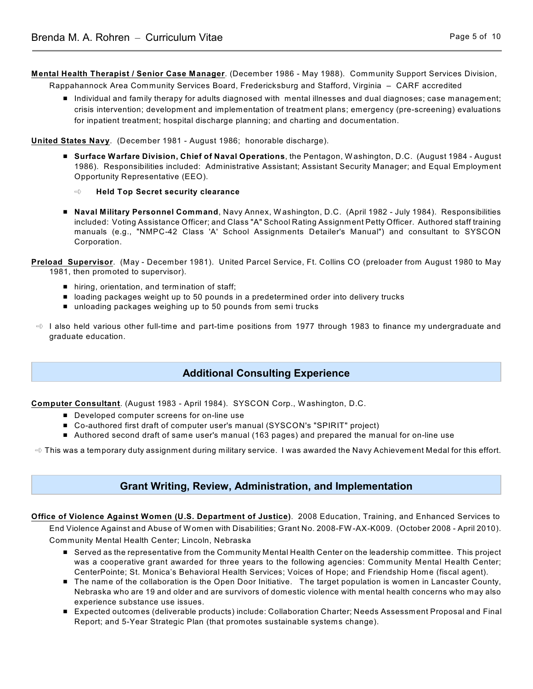#### **Mental Health Therapist / Senior Case Manager**. (December 1986 - May 1988). Community Support Services Division,

Rappahannock Area Community Services Board, Fredericksburg and Stafford, Virginia – CARF accredited

■ Individual and family therapy for adults diagnosed with mental illnesses and dual diagnoses; case management; crisis intervention; development and implementation of treatment plans; emergency (pre-screening) evaluations for inpatient treatment; hospital discharge planning; and charting and documentation.

**United States Navy**. (December 1981 - August 1986; honorable discharge).

- # **Surface Warfare Division, Chief of Naval Operations**, the Pentagon, W ashington, D.C. (August 1984 August 1986). Responsibilities included: Administrative Assistant; Assistant Security Manager; and Equal Employment Opportunity Representative (EEO).
	- ¸ **Held Top Secret security clearance**
- Naval Military Personnel Command, Navy Annex, Washington, D.C. (April 1982 July 1984). Responsibilities included: Voting Assistance Officer; and Class "A" School Rating Assignment Petty Officer. Authored staff training manuals (e.g., "NMPC-42 Class 'A' School Assignments Detailer's Manual") and consultant to SYSCON Corporation.

**Preload Supervisor**. (May - December 1981). United Parcel Service, Ft. Collins CO (preloader from August 1980 to May 1981, then promoted to supervisor).

- $\blacksquare$  hiring, orientation, and termination of staff;
- **Deading packages weight up to 50 pounds in a predetermined order into delivery trucks**
- unloading packages weighing up to 50 pounds from semi trucks
- $\Rightarrow$  I also held various other full-time and part-time positions from 1977 through 1983 to finance my undergraduate and graduate education.

# **Additional Consulting Experience**

**Computer Consultant**. (August 1983 - April 1984). SYSCON Corp., W ashington, D.C.

- **E** Developed computer screens for on-line use
- Co-authored first draft of computer user's manual (SYSCON's "SPIRIT" project)
- Authored second draft of same user's manual (163 pages) and prepared the manual for on-line use

 $\Rightarrow$  This was a temporary duty assignment during military service. I was awarded the Navy Achievement Medal for this effort.

### **Grant Writing, Review, Administration, and Implementation**

**Office of Violence Against Women (U.S. Department of Justice)**. 2008 Education, Training, and Enhanced Services to End Violence Against and Abuse of Women with Disabilities; Grant No. 2008-FW -AX-K009. (October 2008 - April 2010). Community Mental Health Center; Lincoln, Nebraska

- Served as the representative from the Community Mental Health Center on the leadership committee. This project was a cooperative grant awarded for three years to the following agencies: Community Mental Health Center; CenterPointe; St. Monica's Behavioral Health Services; Voices of Hope; and Friendship Home (fiscal agent).
- The name of the collaboration is the Open Door Initiative. The target population is women in Lancaster County, Nebraska who are 19 and older and are survivors of domestic violence with mental health concerns who may also experience substance use issues.
- Expected outcomes (deliverable products) include: Collaboration Charter; Needs Assessment Proposal and Final Report; and 5-Year Strategic Plan (that promotes sustainable systems change).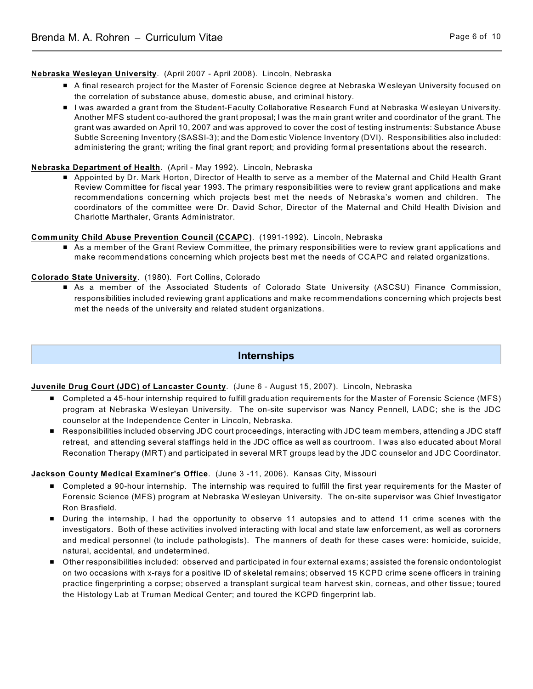#### **Nebraska Wesleyan University**. (April 2007 - April 2008). Lincoln, Nebraska

- A final research project for the Master of Forensic Science degree at Nebraska Wesleyan University focused on the correlation of substance abuse, domestic abuse, and criminal history.
- I was awarded a grant from the Student-Faculty Collaborative Research Fund at Nebraska Wesleyan University. Another MFS student co-authored the grant proposal; I was the main grant writer and coordinator of the grant. The grant was awarded on April 10, 2007 and was approved to cover the cost of testing instruments: Substance Abuse Subtle Screening Inventory (SASSI-3); and the Domestic Violence Inventory (DVI). Responsibilities also included: administering the grant; writing the final grant report; and providing formal presentations about the research.

#### **Nebraska Department of Health**. (April - May 1992). Lincoln, Nebraska

■ Appointed by Dr. Mark Horton, Director of Health to serve as a member of the Maternal and Child Health Grant Review Committee for fiscal year 1993. The primary responsibilities were to review grant applications and make recommendations concerning which projects best met the needs of Nebraska's women and children. The coordinators of the committee were Dr. David Schor, Director of the Maternal and Child Health Division and Charlotte Marthaler, Grants Administrator.

#### **Community Child Abuse Prevention Council (CCAPC)**. (1991-1992). Lincoln, Nebraska

■ As a member of the Grant Review Committee, the primary responsibilities were to review grant applications and make recommendations concerning which projects best met the needs of CCAPC and related organizations.

#### **Colorado State University**. (1980). Fort Collins, Colorado

■ As a member of the Associated Students of Colorado State University (ASCSU) Finance Commission, responsibilities included reviewing grant applications and make recommendations concerning which projects best met the needs of the university and related student organizations.

### **Internships**

#### **Juvenile Drug Court (JDC) of Lancaster County**. (June 6 - August 15, 2007). Lincoln, Nebraska

- Completed a 45-hour internship required to fulfill graduation requirements for the Master of Forensic Science (MFS) program at Nebraska W esleyan University. The on-site supervisor was Nancy Pennell, LADC; she is the JDC counselor at the Independence Center in Lincoln, Nebraska.
- Responsibilities included observing JDC court proceedings, interacting with JDC team members, attending a JDC staff retreat, and attending several staffings held in the JDC office as well as courtroom. I was also educated about Moral Reconation Therapy (MRT) and participated in several MRT groups lead by the JDC counselor and JDC Coordinator.

#### **Jackson County Medical Examiner's Office**. (June 3 -11, 2006). Kansas City, Missouri

- Completed a 90-hour internship. The internship was required to fulfill the first year requirements for the Master of Forensic Science (MFS) program at Nebraska W esleyan University. The on-site supervisor was Chief Investigator Ron Brasfield.
- **E** During the internship, I had the opportunity to observe 11 autopsies and to attend 11 crime scenes with the investigators. Both of these activities involved interacting with local and state law enforcement, as well as cororners and medical personnel (to include pathologists). The manners of death for these cases were: homicide, suicide, natural, accidental, and undetermined.
- Other responsibilities included: observed and participated in four external exams; assisted the forensic ondontologist on two occasions with x-rays for a positive ID of skeletal remains; observed 15 KCPD crime scene officers in training practice fingerprinting a corpse; observed a transplant surgical team harvest skin, corneas, and other tissue; toured the Histology Lab at Truman Medical Center; and toured the KCPD fingerprint lab.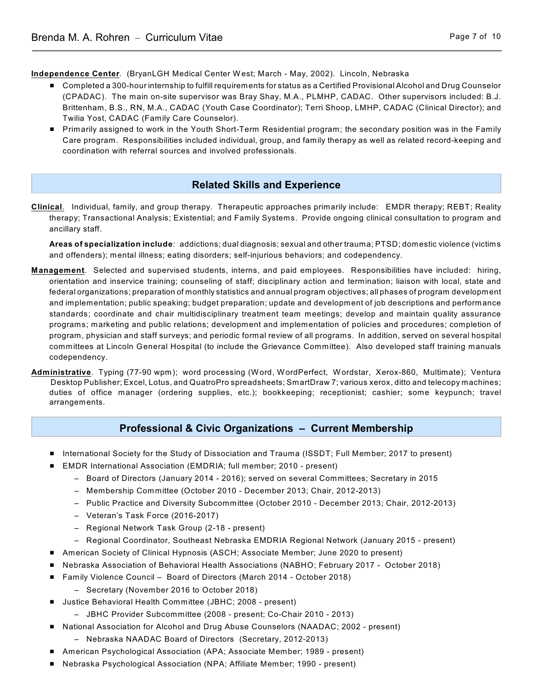ŗ

**Independence Center**. (BryanLGH Medical Center W est; March - May, 2002). Lincoln, Nebraska

- Completed a 300-hour internship to fulfill requirements for status as a Certified Provisional Alcohol and Drug Counselor (CPADAC). The main on-site supervisor was Bray Shay, M.A., PLMHP, CADAC. Other supervisors included: B.J. Brittenham, B.S., RN, M.A., CADAC (Youth Case Coordinator); Terri Shoop, LMHP, CADAC (Clinical Director); and Twilia Yost, CADAC (Family Care Counselor).
- Primarily assigned to work in the Youth Short-Term Residential program; the secondary position was in the Family Care program. Responsibilities included individual, group, and family therapy as well as related record-keeping and coordination with referral sources and involved professionals.

# **Related Skills and Experience**

**Clinical**. Individual, family, and group therapy. Therapeutic approaches primarily include: EMDR therapy; REBT; Reality therapy; Transactional Analysis; Existential; and Family Systems. Provide ongoing clinical consultation to program and ancillary staff.

**Areas of specialization include**: addictions; dual diagnosis; sexual and other trauma; PTSD; domestic violence (victims and offenders); mental illness; eating disorders; self-injurious behaviors; and codependency.

- **Management**. Selected and supervised students, interns, and paid employees. Responsibilities have included: hiring, orientation and inservice training; counseling of staff; disciplinary action and termination; liaison with local, state and federal organizations; preparation of monthly statistics and annual program objectives; all phases of program development and implementation; public speaking; budget preparation; update and development of job descriptions and performance standards; coordinate and chair multidisciplinary treatment team meetings; develop and maintain quality assurance programs; marketing and public relations; development and implementation of policies and procedures; completion of program, physician and staff surveys; and periodic formal review of all programs. In addition, served on several hospital committees at Lincoln General Hospital (to include the Grievance Committee). Also developed staff training manuals codependency.
- **Administrative**. Typing (77-90 wpm); word processing (Word, WordPerfect, Wordstar, Xerox-860, Multimate); Ventura Desktop Publisher; Excel, Lotus, and QuatroPro spreadsheets; SmartDraw 7; various xerox, ditto and telecopy machines; duties of office manager (ordering supplies, etc.); bookkeeping; receptionist; cashier; some keypunch; travel arrangements.

# **Professional & Civic Organizations – Current Membership**

- **International Society for the Study of Dissociation and Trauma (ISSDT; Full Member; 2017 to present)**
- EMDR International Association (EMDRIA; full member; 2010 present)
	- Board of Directors (January 2014 2016); served on several Committees; Secretary in 2015
	- Membership Committee (October 2010 December 2013; Chair, 2012-2013)
	- Public Practice and Diversity Subcommittee (October 2010 December 2013; Chair, 2012-2013)
	- Veteran's Task Force (2016-2017)
	- Regional Network Task Group (2-18 present)
	- Regional Coordinator, Southeast Nebraska EMDRIA Regional Network (January 2015 present)
- American Society of Clinical Hypnosis (ASCH; Associate Member; June 2020 to present)
- Nebraska Association of Behavioral Health Associations (NABHO; February 2017 October 2018)
- Family Violence Council Board of Directors (March 2014 October 2018)
	- Secretary (November 2016 to October 2018)
- **U** Justice Behavioral Health Committee (JBHC; 2008 present)
	- JBHC Provider Subcommittee (2008 present; Co-Chair 2010 2013)
- National Association for Alcohol and Drug Abuse Counselors (NAADAC; 2002 present)
	- Nebraska NAADAC Board of Directors (Secretary, 2012-2013)
- American Psychological Association (APA; Associate Member; 1989 present)
- Nebraska Psychological Association (NPA; Affiliate Member; 1990 present)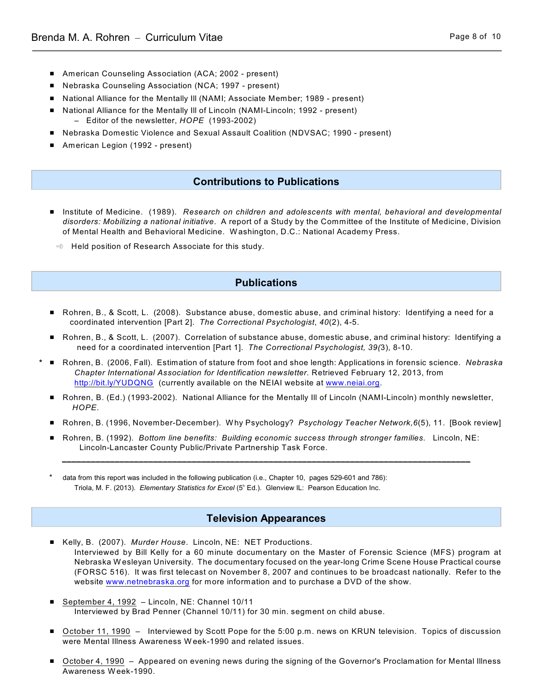- American Counseling Association (ACA; 2002 present)
- Nebraska Counseling Association (NCA; 1997 present)
- National Alliance for the Mentally III (NAMI; Associate Member; 1989 present)
- National Alliance for the Mentally III of Lincoln (NAMI-Lincoln; 1992 present) – Editor of the newsletter, *HOPE* (1993-2002)
- Nebraska Domestic Violence and Sexual Assault Coalition (NDVSAC; 1990 present)
- American Legion (1992 present)

# **Contributions to Publications**

- Institute of Medicine. (1989). Research on children and adolescents with mental, behavioral and developmental *disorders: Mobilizing a national initiative*. A report of a Study by the Committee of the Institute of Medicine, Division of Mental Health and Behavioral Medicine. Washington, D.C.: National Academy Press.
- $\Rightarrow$  Held position of Research Associate for this study.

# **Publications**

- Rohren, B., & Scott, L. (2008). Substance abuse, domestic abuse, and criminal history: Identifying a need for a coordinated intervention [Part 2]. *The Correctional Psychologist*, *40*(2), 4-5.
- Rohren, B., & Scott, L. (2007). Correlation of substance abuse, domestic abuse, and criminal history: Identifying a need for a coordinated intervention [Part 1]. *The Correctional Psychologist, 39(*3), 8-10.
- **\*** # Rohren, B. (2006, Fall). Estimation of stature from foot and shoe length: Applications in forensic science. *Nebraska Chapter International Association for Identification newsletter.* Retrieved February 12, 2013, from <http://bit.ly/YUDQNG> (currently available on the NEIAI website at [www.neiai.org](http://www.neiai.org).
	- Rohren, B. (Ed.) (1993-2002). National Alliance for the Mentally III of Lincoln (NAMI-Lincoln) monthly newsletter,  *HOPE*.
	- Rohren, B. (1996, November-December). Why Psychology? *Psychology Teacher Network*,6(5), 11. [Book review]
	- Rohren, B. (1992). *Bottom line benefits: Building economic success through stronger families.* Lincoln, NE: Lincoln-Lancaster County Public/Private Partnership Task Force. \_\_\_\_\_\_\_\_\_\_\_\_\_\_\_\_\_\_\_\_\_\_\_\_\_\_\_\_\_\_\_\_\_\_\_\_\_\_\_\_\_\_\_\_\_\_\_\_\_\_\_\_\_\_\_\_\_\_\_\_\_\_\_\_\_\_\_\_\_\_\_\_\_\_\_\_\_\_\_\_\_\_\_\_\_
	- data from this report was included in the following publication (i.e., Chapter 10, pages 529-601 and 786): Triola, M. F. (2013). *Elementary Statistics for Excel* (5<sup>h</sup> Ed.). Glenview IL: Pearson Education Inc.

### **Television Appearances**

- # Kelly, B. (2007). *Murder House*. Lincoln, NE: NET Productions. Interviewed by Bill Kelly for a 60 minute documentary on the Master of Forensic Science (MFS) program at Nebraska W esleyan University. The documentary focused on the year-long Crime Scene House Practical course (FORSC 516). It was first telecast on November 8, 2007 and continues to be broadcast nationally. Refer to the website [www.netnebraska.org](http://netnebraska.org/basic-page/television/murder-house) for more information and to purchase a DVD of the show.
- September 4, 1992 Lincoln, NE: Channel 10/11 Interviewed by Brad Penner (Channel 10/11) for 30 min. segment on child abuse.
- October 11, 1990 Interviewed by Scott Pope for the 5:00 p.m. news on KRUN television. Topics of discussion were Mental Illness Awareness W eek-1990 and related issues.
- October 4, 1990 Appeared on evening news during the signing of the Governor's Proclamation for Mental Illness Awareness W eek-1990.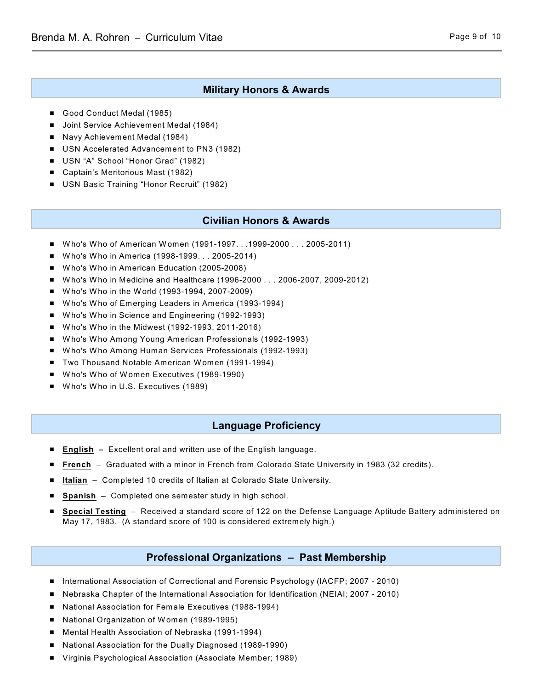# **Military Honors & Awards**

- Good Conduct Medal (1985)
- **Joint Service Achievement Medal (1984)**
- Navy Achievement Medal (1984)
- **USN Accelerated Advancement to PN3 (1982)**
- USN "A" School "Honor Grad" (1982)
- Captain's Meritorious Mast (1982)
- **USN Basic Training "Honor Recruit" (1982)**

### **Civilian Honors & Awards**

- Who's Who of American Women (1991-1997. . .1999-2000 . . . 2005-2011)
- Who's Who in America (1998-1999. . . 2005-2014)
- Who's Who in American Education (2005-2008)
- Who's Who in Medicine and Healthcare (1996-2000 . . . 2006-2007, 2009-2012)
- Who's Who in the World (1993-1994, 2007-2009)
- Who's Who of Emerging Leaders in America (1993-1994)
- Who's Who in Science and Engineering (1992-1993)
- Who's Who in the Midwest (1992-1993, 2011-2016)
- Who's Who Among Young American Professionals (1992-1993)
- Who's Who Among Human Services Professionals (1992-1993)
- Two Thousand Notable American Women (1991-1994)
- Who's Who of Women Executives (1989-1990)
- Who's Who in U.S. Executives (1989)

# **Language Proficiency**

- **English** Excellent oral and written use of the English language.
- French Graduated with a minor in French from Colorado State University in 1983 (32 credits).
- **E** Italian Completed 10 credits of Italian at Colorado State University.
- **Spanish** Completed one semester study in high school.
- # **Special Testing**  Received a standard score of 122 on the Defense Language Aptitude Battery administered on May 17, 1983. (A standard score of 100 is considered extremely high.)

### **Professional Organizations – Past Membership**

- **E** International Association of Correctional and Forensic Psychology (IACFP; 2007 2010)
- **E** Nebraska Chapter of the International Association for Identification (NEIAI; 2007 2010)
- National Association for Female Executives (1988-1994)
- National Organization of Women (1989-1995)
- Mental Health Association of Nebraska (1991-1994)
- National Association for the Dually Diagnosed (1989-1990)
- # Virginia Psychological Association (Associate Member; 1989)